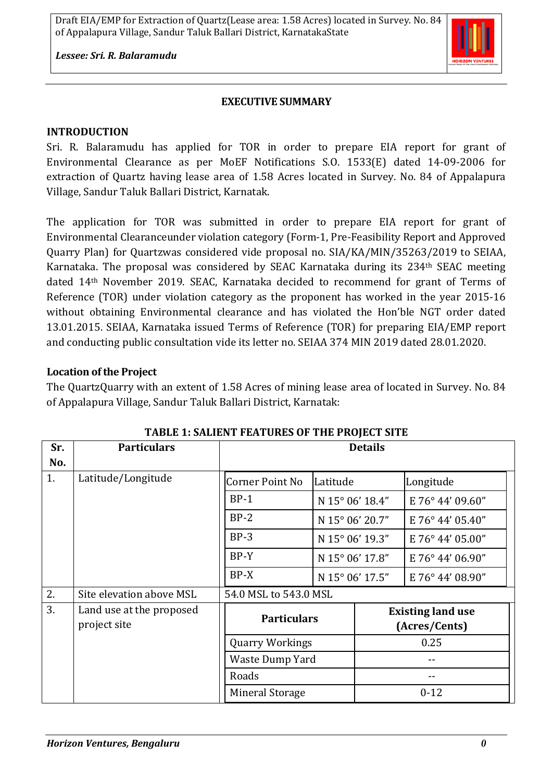

*Lessee: Sri. R. Balaramudu*

#### **EXECUTIVE SUMMARY**

#### **INTRODUCTION**

Sri. R. Balaramudu has applied for TOR in order to prepare EIA report for grant of Environmental Clearance as per MoEF Notifications S.O. 1533(E) dated 14-09-2006 for extraction of Quartz having lease area of 1.58 Acres located in Survey. No. 84 of Appalapura Village, Sandur Taluk Ballari District, Karnatak.

The application for TOR was submitted in order to prepare EIA report for grant of Environmental Clearanceunder violation category (Form-1, Pre-Feasibility Report and Approved Quarry Plan) for Quartzwas considered vide proposal no. SIA/KA/MIN/35263/2019 to SEIAA, Karnataka. The proposal was considered by SEAC Karnataka during its 234<sup>th</sup> SEAC meeting dated 14th November 2019. SEAC, Karnataka decided to recommend for grant of Terms of Reference (TOR) under violation category as the proponent has worked in the year 2015-16 without obtaining Environmental clearance and has violated the Hon'ble NGT order dated 13.01.2015. SEIAA, Karnataka issued Terms of Reference (TOR) for preparing EIA/EMP report and conducting public consultation vide its letter no. SEIAA 374 MIN 2019 dated 28.01.2020.

### **Location of the Project**

The QuartzQuarry with an extent of 1.58 Acres of mining lease area of located in Survey. No. 84 of Appalapura Village, Sandur Taluk Ballari District, Karnatak:

| Sr. | <b>Particulars</b>                       | <b>Details</b>                               |                 |          |                                           |
|-----|------------------------------------------|----------------------------------------------|-----------------|----------|-------------------------------------------|
| No. |                                          |                                              |                 |          |                                           |
| 1.  | Latitude/Longitude                       | <b>Corner Point No</b>                       | Latitude        |          | Longitude                                 |
|     |                                          | $BP-1$                                       | N 15° 06' 18.4" |          | E 76° 44' 09.60"                          |
|     |                                          | $BP-2$                                       | N 15° 06' 20.7" |          | E 76° 44' 05.40"                          |
|     |                                          | $BP-3$                                       | N 15° 06' 19.3" |          | E 76° 44' 05.00"                          |
|     |                                          | $BP-Y$                                       | N 15° 06' 17.8" |          | E 76° 44' 06.90"                          |
|     |                                          | $BP-X$                                       | N 15° 06' 17.5" |          | E 76° 44' 08.90"                          |
| 2.  | Site elevation above MSL                 | 54.0 MSL to 543.0 MSL                        |                 |          |                                           |
| 3.  | Land use at the proposed<br>project site | <b>Particulars</b><br><b>Quarry Workings</b> |                 |          | <b>Existing land use</b><br>(Acres/Cents) |
|     |                                          |                                              |                 | 0.25     |                                           |
|     |                                          | Waste Dump Yard                              |                 |          |                                           |
|     |                                          | Roads                                        |                 |          |                                           |
|     |                                          | <b>Mineral Storage</b>                       |                 | $0 - 12$ |                                           |

#### **TABLE 1: SALIENT FEATURES OF THE PROJECT SITE**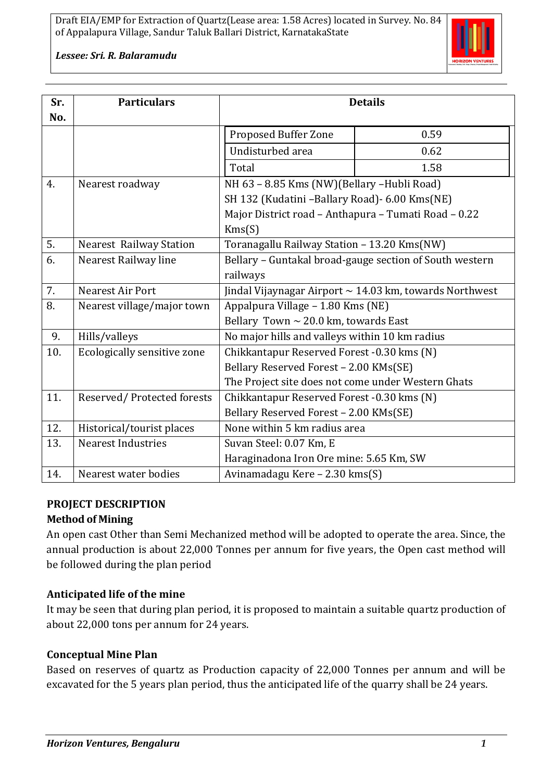

*Lessee: Sri. R. Balaramudu*

| Sr.<br>No. | <b>Particulars</b>             | <b>Details</b>                                               |      |  |  |
|------------|--------------------------------|--------------------------------------------------------------|------|--|--|
|            |                                | Proposed Buffer Zone                                         | 0.59 |  |  |
|            |                                | Undisturbed area                                             | 0.62 |  |  |
|            |                                | Total                                                        | 1.58 |  |  |
| 4.         | Nearest roadway                | NH 63 - 8.85 Kms (NW)(Bellary -Hubli Road)                   |      |  |  |
|            |                                | SH 132 (Kudatini -Ballary Road) - 6.00 Kms(NE)               |      |  |  |
|            |                                | Major District road - Anthapura - Tumati Road - 0.22         |      |  |  |
|            |                                | Kms(S)                                                       |      |  |  |
| 5.         | <b>Nearest Railway Station</b> | Toranagallu Railway Station - 13.20 Kms(NW)                  |      |  |  |
| 6.         | Nearest Railway line           | Bellary - Guntakal broad-gauge section of South western      |      |  |  |
|            |                                | railways                                                     |      |  |  |
| 7.         | Nearest Air Port               | Jindal Vijaynagar Airport $\sim$ 14.03 km, towards Northwest |      |  |  |
| 8.         | Nearest village/major town     | Appalpura Village - 1.80 Kms (NE)                            |      |  |  |
|            |                                | Bellary Town $\sim 20.0$ km, towards East                    |      |  |  |
| 9.         | Hills/valleys                  | No major hills and valleys within 10 km radius               |      |  |  |
| 10.        | Ecologically sensitive zone    | Chikkantapur Reserved Forest -0.30 kms (N)                   |      |  |  |
|            |                                | Bellary Reserved Forest - 2.00 KMs(SE)                       |      |  |  |
|            |                                | The Project site does not come under Western Ghats           |      |  |  |
| 11.        | Reserved/Protected forests     | Chikkantapur Reserved Forest -0.30 kms (N)                   |      |  |  |
|            |                                | Bellary Reserved Forest - 2.00 KMs(SE)                       |      |  |  |
| 12.        | Historical/tourist places      | None within 5 km radius area                                 |      |  |  |
| 13.        | <b>Nearest Industries</b>      | Suvan Steel: 0.07 Km, E                                      |      |  |  |
|            |                                | Haraginadona Iron Ore mine: 5.65 Km, SW                      |      |  |  |
| 14.        | Nearest water bodies           | Avinamadagu Kere - 2.30 kms(S)                               |      |  |  |

# **PROJECT DESCRIPTION**

#### **Method of Mining**

An open cast Other than Semi Mechanized method will be adopted to operate the area. Since, the annual production is about 22,000 Tonnes per annum for five years, the Open cast method will be followed during the plan period

# **Anticipated life of the mine**

It may be seen that during plan period, it is proposed to maintain a suitable quartz production of about 22,000 tons per annum for 24 years.

# **Conceptual Mine Plan**

Based on reserves of quartz as Production capacity of 22,000 Tonnes per annum and will be excavated for the 5 years plan period, thus the anticipated life of the quarry shall be 24 years.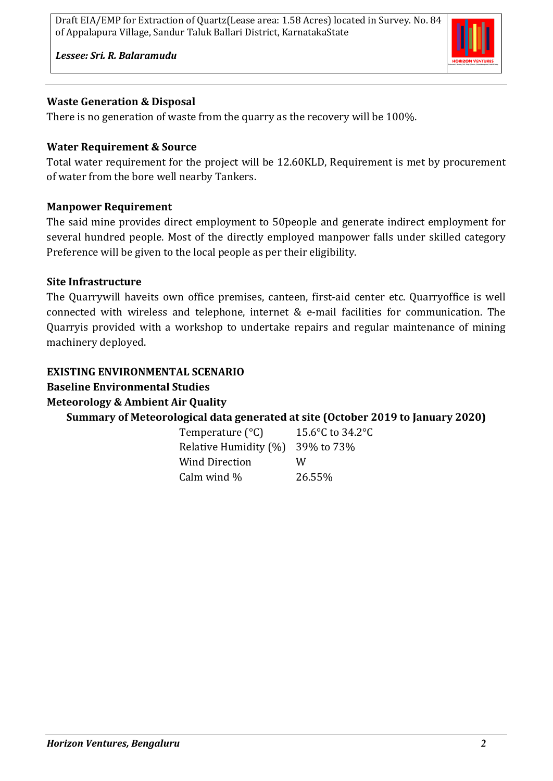

*Lessee: Sri. R. Balaramudu*

### **Waste Generation & Disposal**

There is no generation of waste from the quarry as the recovery will be 100%.

### **Water Requirement & Source**

Total water requirement for the project will be 12.60KLD, Requirement is met by procurement of water from the bore well nearby Tankers.

### **Manpower Requirement**

The said mine provides direct employment to 50people and generate indirect employment for several hundred people. Most of the directly employed manpower falls under skilled category Preference will be given to the local people as per their eligibility.

### **Site Infrastructure**

The Quarrywill haveits own office premises, canteen, first-aid center etc. Quarryoffice is well connected with wireless and telephone, internet & e-mail facilities for communication. The Quarryis provided with a workshop to undertake repairs and regular maintenance of mining machinery deployed.

#### **EXISTING ENVIRONMENTAL SCENARIO**

# **Baseline Environmental Studies**

**Meteorology & Ambient Air Quality**

# **Summary of Meteorological data generated at site (October 2019 to January 2020)**

| Temperature (°C)      | 15.6°C to 34.2°C |
|-----------------------|------------------|
| Relative Humidity (%) | 39% to 73%       |
| Wind Direction        | W                |
| Calm wind %           | 26.55%           |
|                       |                  |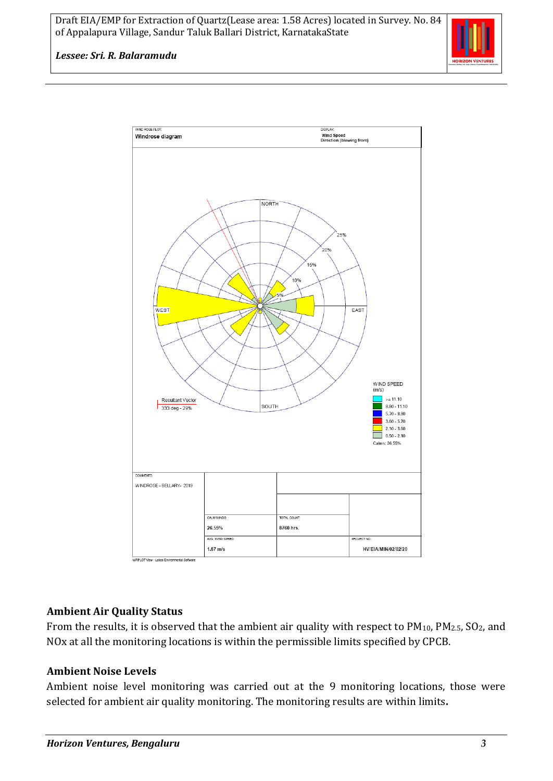

#### *Lessee: Sri. R. Balaramudu*



#### **Ambient Air Quality Status**

From the results, it is observed that the ambient air quality with respect to  $PM_{10}$ ,  $PM_{2.5}$ ,  $SO_2$ , and NOx at all the monitoring locations is within the permissible limits specified by CPCB.

#### **Ambient Noise Levels**

Ambient noise level monitoring was carried out at the 9 monitoring locations, those were selected for ambient air quality monitoring. The monitoring results are within limits**.**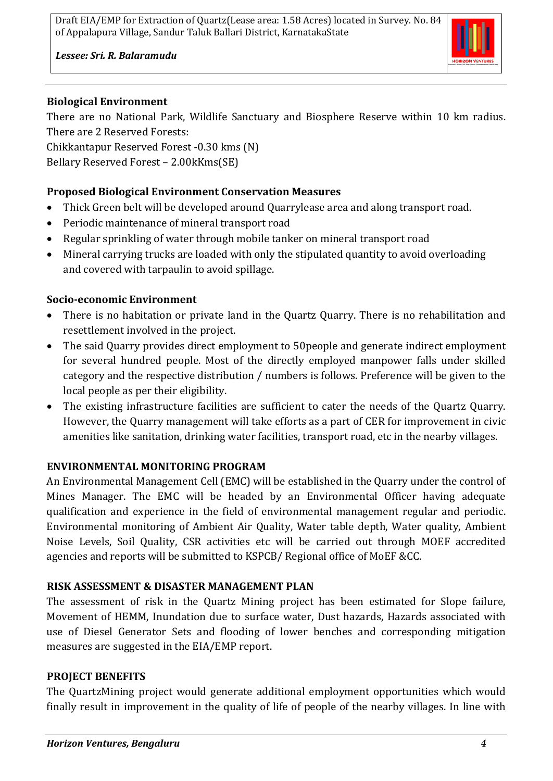

*Lessee: Sri. R. Balaramudu*

## **Biological Environment**

There are no National Park, Wildlife Sanctuary and Biosphere Reserve within 10 km radius. There are 2 Reserved Forests:

Chikkantapur Reserved Forest -0.30 kms (N) Bellary Reserved Forest – 2.00kKms(SE)

# **Proposed Biological Environment Conservation Measures**

- Thick Green belt will be developed around Quarrylease area and along transport road.
- Periodic maintenance of mineral transport road
- Regular sprinkling of water through mobile tanker on mineral transport road
- Mineral carrying trucks are loaded with only the stipulated quantity to avoid overloading and covered with tarpaulin to avoid spillage.

# **Socio-economic Environment**

- There is no habitation or private land in the Quartz Quarry. There is no rehabilitation and resettlement involved in the project.
- The said Quarry provides direct employment to 50 people and generate indirect employment for several hundred people. Most of the directly employed manpower falls under skilled category and the respective distribution / numbers is follows. Preference will be given to the local people as per their eligibility.
- The existing infrastructure facilities are sufficient to cater the needs of the Quartz Quarry. However, the Quarry management will take efforts as a part of CER for improvement in civic amenities like sanitation, drinking water facilities, transport road, etc in the nearby villages.

# **ENVIRONMENTAL MONITORING PROGRAM**

An Environmental Management Cell (EMC) will be established in the Quarry under the control of Mines Manager. The EMC will be headed by an Environmental Officer having adequate qualification and experience in the field of environmental management regular and periodic. Environmental monitoring of Ambient Air Quality, Water table depth, Water quality, Ambient Noise Levels, Soil Quality, CSR activities etc will be carried out through MOEF accredited agencies and reports will be submitted to KSPCB/ Regional office of MoEF &CC.

# **RISK ASSESSMENT & DISASTER MANAGEMENT PLAN**

The assessment of risk in the Quartz Mining project has been estimated for Slope failure, Movement of HEMM, Inundation due to surface water, Dust hazards, Hazards associated with use of Diesel Generator Sets and flooding of lower benches and corresponding mitigation measures are suggested in the EIA/EMP report.

# **PROJECT BENEFITS**

The QuartzMining project would generate additional employment opportunities which would finally result in improvement in the quality of life of people of the nearby villages. In line with